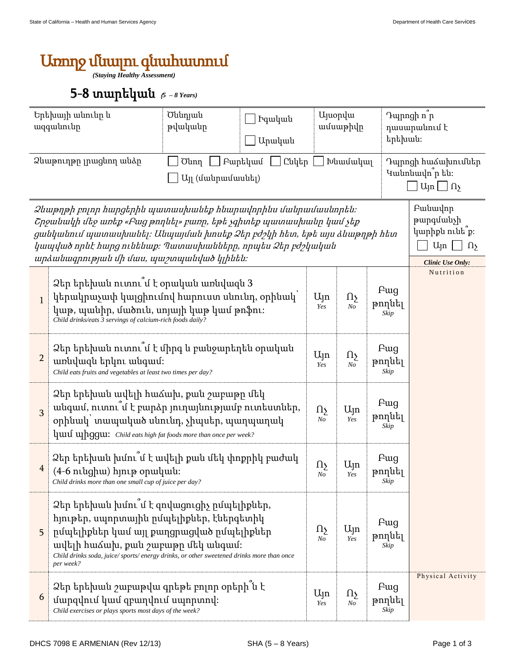## Առողջ մնալու գնահատում

*(Staying Healthy Assessment)*

## 5-8 տարեկան (*<sup>5</sup> – 8 Years)*

| Երեխայի անունը և<br>ազգանունը                                                                                 |                                                                                                                                                                                                                                                                                                                                                                                                                          | Ծննդյան<br>թվականը | Իգական<br>Արական |                          | <b>U</b> juopyu<br>ամսաթիվը                                                         |                               | Դպրոցի ո <sup>"</sup> ր<br>դասարանում է<br>երեխան։ |  |
|---------------------------------------------------------------------------------------------------------------|--------------------------------------------------------------------------------------------------------------------------------------------------------------------------------------------------------------------------------------------------------------------------------------------------------------------------------------------------------------------------------------------------------------------------|--------------------|------------------|--------------------------|-------------------------------------------------------------------------------------|-------------------------------|----------------------------------------------------|--|
| Ձևաթուղթը լրացնող անձր<br>Բարեկամ<br>Ընկեր<br>Խնամակալ<br><b><i>O</i></b> unη<br>U <sub>J</sub> (մանրամասնել) |                                                                                                                                                                                                                                                                                                                                                                                                                          |                    |                  |                          | Դպրոցի հաձախումներ<br>Կանոնավո <sup>՞</sup> ր են։<br>$U_{\text{in}} \square \Omega$ |                               |                                                    |  |
|                                                                                                               | Pwuwulnp<br>2 ևաթղթի բոլոր հարցերին պատասխանեք հնարավորինս մանրամասնորեն։<br>թարգմանչի<br>Շրջանակի մեջ առեք «Բաց թողնել» բառը, եթե չգիտեք պատասխանը կամ չեք<br>կարիքն ունե՞ք։<br>ցանկանում պատասխանել։ Անպայման խոսեք Ձեր բժշկի հետ, եթե այս ձևաթղթի հետ<br>$U_{\parallel}$ n<br>կապված որևէ հարց ունենաք։ Պատասխանները, որպես Ձեր բժշկական<br>$\Omega$<br>արձանագրության մի մաս, պաշտպանված կլինեն։<br>Clinic Use Only: |                    |                  |                          |                                                                                     |                               |                                                    |  |
| $\mathbf{1}$                                                                                                  | Ձեր երեխան ուտու մ է օրական առնվազն 3<br>կերակրաչափ կալցիումով հարուստ սնունդ, օրինակ՝<br>կաթ, պանիր, մածուն, սոյայի կաթ կամ թոֆու։<br>Child drinks/eats 3 servings of calcium-rich foods daily?                                                                                                                                                                                                                         |                    |                  | $U_{\parallel}$ n<br>Yes | $\Omega$<br>N <sub>O</sub>                                                          | Pug<br>թողնել<br>Skip         | Nutrition                                          |  |
| $\overline{2}$                                                                                                | Ձեր երեխան ուտու՞մ է միրգ և բանջարեղեն օրական<br>առնվազն երկու անգամ։<br>Child eats fruits and vegetables at least two times per day?                                                                                                                                                                                                                                                                                    |                    |                  |                          | $\Omega$<br>$N_{O}$                                                                 | Fwg<br>թողնել<br>Skip         |                                                    |  |
| 3                                                                                                             | Ձեր երեխան ավելի հաձախ, քան շաբաթը մեկ<br>անգամ, ուտու մ է բարձր յուղայնությամբ ուտեստներ,<br>օրինակ՝ տապակած սնունդ, չիպսեր, պաղպաղակ<br>quul upggu: Child eats high fat foods more than once per week?                                                                                                                                                                                                                 |                    |                  |                          | Ujn<br>Yes                                                                          | Fwg<br>թողնել<br>$\it{skip}$  |                                                    |  |
| $\overline{4}$                                                                                                | Ձեր երեխան խմու՞մ է ավելի քան մեկ փոքրիկ բաժակ<br>(4-6 niughu) hinip opuluuu:<br>Child drinks more than one small cup of juice per day?                                                                                                                                                                                                                                                                                  |                    |                  |                          | Ujn<br>Yes                                                                          | Fwg<br>թողնել<br>Skip         |                                                    |  |
| 5                                                                                                             | Ձեր երեխան խմու՞մ է զովացուցիչ ըմպելիքներ,<br>հյութեր, սպորտային ըմպելիքներ, էներգետիկ<br>րմպելիքներ կամ այլ քաղցրացված ըմպելիքներ<br>ավելի հաձախ, քան շաբաթը մեկ անգամ։<br>Child drinks soda, juice/sports/energy drinks, or other sweetened drinks more than once<br>per week?                                                                                                                                         |                    |                  | $\Omega$<br>$N_{O}$      | $U_{\parallel}$ n<br>Yes                                                            | Pug<br>թողնել<br>Skip         |                                                    |  |
| 6                                                                                                             | Ձեր երեխան շաբաթվա գրեթե բոլոր օրերի՞ն է<br>մարզվում կամ զբաղվում սպորտով:<br>Child exercises or plays sports most days of the week?                                                                                                                                                                                                                                                                                     |                    |                  | $U_{\parallel}$ n<br>Yes | $\Omega$<br>$N_{O}$                                                                 | <b>F</b> ug<br>թողնել<br>Skip | Physical Activity                                  |  |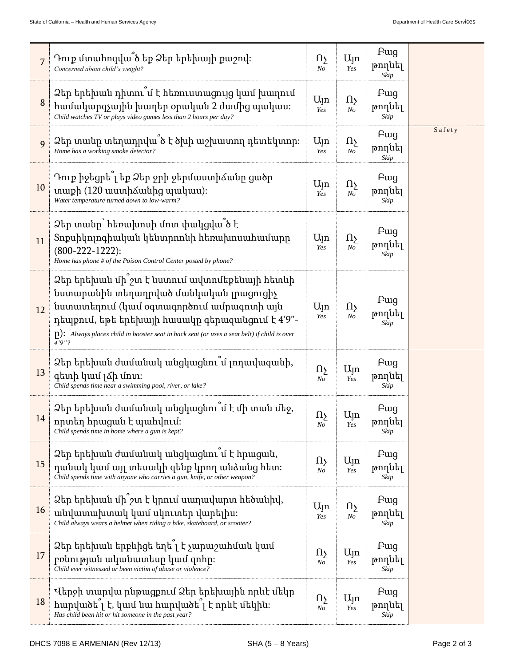| 7  | Դուք մտահոգվա՞ծ եք Ձեր երեխայի քաշով։<br>Concerned about child's weight?                                                                                                                                                                                                                                        | Ωչ<br>No                 | Ujn<br>Yes                 | Fwg<br>թողնել<br>Skip         |        |
|----|-----------------------------------------------------------------------------------------------------------------------------------------------------------------------------------------------------------------------------------------------------------------------------------------------------------------|--------------------------|----------------------------|-------------------------------|--------|
| 8  | Ձեր երեխան դիտու՞մ է հեռուստացույց կամ խաղում<br>համակարգչային խաղեր օրական 2 ժամից պակաս։<br>Child watches TV or plays video games less than 2 hours per day?                                                                                                                                                  | Ujn<br>Yes               | Ωş<br>N <sub>O</sub>       | <b>F</b> ug<br>թողնել<br>Skip |        |
| 9  | Ձեր տանը տեղադրվա՞ծ է ծխի աշխատող դետեկտոր։<br>Home has a working smoke detector?                                                                                                                                                                                                                               | Ujn<br>Yes               | Ωş<br>$N_{O}$              | Pug<br>թողնել<br>Skip         | Safety |
| 10 | Դուք իջեցրե՞լ եք Ձեր ջրի ջերմաստիձանը ցածր<br>տաքի (120 աստիձանից պակաս):<br>Water temperature turned down to low-warm?                                                                                                                                                                                         | $U_{\parallel}$ n<br>Yes | $\Omega$<br>No             | Pug<br>թողնել<br>Skip         |        |
| 11 | Ձեր տանը` հեռախոսի մոտ փակցվա՞ծ է<br>Տոքսիկոլոգիական կենտրոոնի հեռախոսահամարը<br>$(800-222-1222)$ :<br>Home has phone # of the Poison Control Center posted by phone?                                                                                                                                           | $U_{\parallel}$ n<br>Yes | $\Omega$<br>N <sub>O</sub> | <b>F</b> ug<br>թողնել<br>Skip |        |
| 12 | Ձեր երեխան մի՞ շտ է նստում ավտոմեքենայի հետևի<br>նստարանին տեղադրված մանկական լրացուցիչ<br>նստատեղում (կամ օգտագործում ամրագոտի այն<br>դեպքում, եթե երեխայի հասակը գերազանցում է 4'9"-<br>$\lceil n \rceil$ : Always places child in booster seat in back seat (or uses a seat belt) if child is over<br>4'9''? | Ujn<br>Yes               | Ωу<br>N <sub>O</sub>       | Fwg<br>թողնել<br>Skip         |        |
| 13 | Ձեր երեխան ժամանակ անցկացնու՞մ լողավազանի,<br>գետի կամ լձի մոտ։<br>Child spends time near a swimming pool, river, or lake?                                                                                                                                                                                      | Ωу<br>N <sub>O</sub>     | Ujn<br>Yes                 | Fwg<br>թողնել<br>Skip         |        |
| 14 | Ձեր երեխան ժամանակ անցկացնու՞մ է մի տան մեջ,<br>որտեղ հրացան է պահվում։<br>Child spends time in home where a gun is kept?                                                                                                                                                                                       | Ωş<br>N <sub>O</sub>     | $U_{\parallel}$ n<br>Yes   | Fwg<br>թողնել<br>Skip         |        |
| 15 | Ձեր երեխան ժամանակ անցկացնու՞մ է հրացան,<br>դանակ կամ այլ տեսակի զենք կրող անձանց հետ։<br>Child spends time with anyone who carries a gun, knife, or other weapon?                                                                                                                                              | Ωş<br>No                 | Ujn<br>Yes                 | Pug<br>թողնել<br>Skip         |        |
| 16 | Ձեր երեխան մի՞շտ է կրում սաղավարտ հեծանիվ,<br>անվատախտակ կամ սկուտեր վարելիս։<br>Child always wears a helmet when riding a bike, skateboard, or scooter?                                                                                                                                                        | $U_{\parallel}$ n<br>Yes | $\Omega_{\Sigma}$<br>No    | <b>F</b> ug<br>թողնել<br>Skip |        |
| 17 | Ձեր երեխան երբևիցե եղե՞լ է չարաշահման կամ<br>բռնության ականատեսը կամ զոհը։<br>Child ever witnessed or been victim of abuse or violence?                                                                                                                                                                         | Ωу<br>No                 | Ujn<br>Yes                 | Pug<br>թողնել<br>Skip         |        |
| 18 | Վերջի տարվա ընթացքում Ձեր երեխային որևէ մեկը<br>hարվածե $\tilde{a}$ է, կամ նա հարվածե $\tilde{a}$ է որևէ մեկին:<br>Has child been hit or hit someone in the past year?                                                                                                                                          | Ωу<br>No                 | Ujn<br>Yes                 | Fwg<br>թողնել<br>Skip         |        |